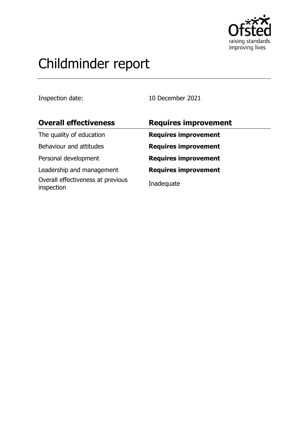

# Childminder report

Inspection date: 10 December 2021

| <b>Overall effectiveness</b>                    | <b>Requires improvement</b> |
|-------------------------------------------------|-----------------------------|
| The quality of education                        | <b>Requires improvement</b> |
| Behaviour and attitudes                         | <b>Requires improvement</b> |
| Personal development                            | <b>Requires improvement</b> |
| Leadership and management                       | <b>Requires improvement</b> |
| Overall effectiveness at previous<br>inspection | Inadequate                  |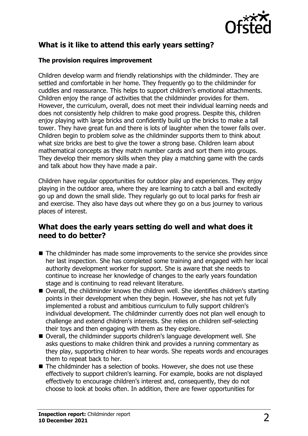

## **What is it like to attend this early years setting?**

#### **The provision requires improvement**

Children develop warm and friendly relationships with the childminder. They are settled and comfortable in her home. They frequently go to the childminder for cuddles and reassurance. This helps to support children's emotional attachments. Children enjoy the range of activities that the childminder provides for them. However, the curriculum, overall, does not meet their individual learning needs and does not consistently help children to make good progress. Despite this, children enjoy playing with large bricks and confidently build up the bricks to make a tall tower. They have great fun and there is lots of laughter when the tower falls over. Children begin to problem solve as the childminder supports them to think about what size bricks are best to give the tower a strong base. Children learn about mathematical concepts as they match number cards and sort them into groups. They develop their memory skills when they play a matching game with the cards and talk about how they have made a pair.

Children have regular opportunities for outdoor play and experiences. They enjoy playing in the outdoor area, where they are learning to catch a ball and excitedly go up and down the small slide. They regularly go out to local parks for fresh air and exercise. They also have days out where they go on a bus journey to various places of interest.

## **What does the early years setting do well and what does it need to do better?**

- $\blacksquare$  The childminder has made some improvements to the service she provides since her last inspection. She has completed some training and engaged with her local authority development worker for support. She is aware that she needs to continue to increase her knowledge of changes to the early years foundation stage and is continuing to read relevant literature.
- Overall, the childminder knows the children well. She identifies children's starting points in their development when they begin. However, she has not yet fully implemented a robust and ambitious curriculum to fully support children's individual development. The childminder currently does not plan well enough to challenge and extend children's interests. She relies on children self-selecting their toys and then engaging with them as they explore.
- Overall, the childminder supports children's language development well. She asks questions to make children think and provides a running commentary as they play, supporting children to hear words. She repeats words and encourages them to repeat back to her.
- The childminder has a selection of books. However, she does not use these effectively to support children's learning. For example, books are not displayed effectively to encourage children's interest and, consequently, they do not choose to look at books often. In addition, there are fewer opportunities for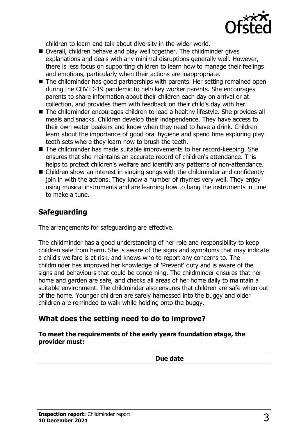

children to learn and talk about diversity in the wider world.

- Overall, children behave and play well together. The childminder gives explanations and deals with any minimal disruptions generally well. However, there is less focus on supporting children to learn how to manage their feelings and emotions, particularly when their actions are inappropriate.
- $\blacksquare$  The childminder has good partnerships with parents. Her setting remained open during the COVID-19 pandemic to help key worker parents. She encourages parents to share information about their children each day on arrival or at collection, and provides them with feedback on their child's day with her.
- The childminder encourages children to lead a healthy lifestyle. She provides all meals and snacks. Children develop their independence. They have access to their own water beakers and know when they need to have a drink. Children learn about the importance of good oral hygiene and spend time exploring play teeth sets where they learn how to brush the teeth.
- The childminder has made suitable improvements to her record-keeping. She ensures that she maintains an accurate record of children's attendance. This helps to protect children's welfare and identify any patterns of non-attendance.
- $\blacksquare$  Children show an interest in singing songs with the childminder and confidently join in with the actions. They know a number of rhymes very well. They enjoy using musical instruments and are learning how to bang the instruments in time to make a tune.

## **Safeguarding**

The arrangements for safeguarding are effective.

The childminder has a good understanding of her role and responsibility to keep children safe from harm. She is aware of the signs and symptoms that may indicate a child's welfare is at risk, and knows who to report any concerns to. The childminder has improved her knowledge of 'Prevent' duty and is aware of the signs and behaviours that could be concerning. The childminder ensures that her home and garden are safe, and checks all areas of her home daily to maintain a suitable environment. The childminder also ensures that children are safe when out of the home. Younger children are safely harnessed into the buggy and older children are reminded to walk while holding onto the buggy.

## **What does the setting need to do to improve?**

**To meet the requirements of the early years foundation stage, the provider must:**

| ∽ra |
|-----|
|     |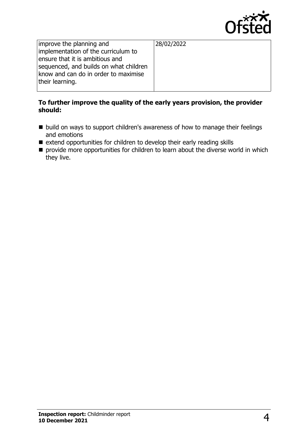

improve the planning and implementation of the curriculum to ensure that it is ambitious and sequenced, and builds on what children know and can do in order to maximise their learning.

28/02/2022

#### **To further improve the quality of the early years provision, the provider should:**

- $\blacksquare$  build on ways to support children's awareness of how to manage their feelings and emotions
- $\blacksquare$  extend opportunities for children to develop their early reading skills
- $\blacksquare$  provide more opportunities for children to learn about the diverse world in which they live.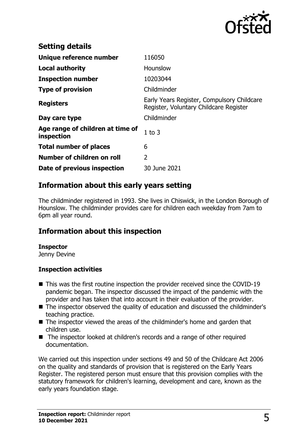

| <b>Setting details</b>                         |                                                                                      |
|------------------------------------------------|--------------------------------------------------------------------------------------|
| Unique reference number                        | 116050                                                                               |
| <b>Local authority</b>                         | Hounslow                                                                             |
| <b>Inspection number</b>                       | 10203044                                                                             |
| <b>Type of provision</b>                       | Childminder                                                                          |
| <b>Registers</b>                               | Early Years Register, Compulsory Childcare<br>Register, Voluntary Childcare Register |
| Day care type                                  | Childminder                                                                          |
| Age range of children at time of<br>inspection | 1 to $3$                                                                             |
| <b>Total number of places</b>                  | 6                                                                                    |
| Number of children on roll                     | 2                                                                                    |
| Date of previous inspection                    | 30 June 2021                                                                         |

## **Information about this early years setting**

The childminder registered in 1993. She lives in Chiswick, in the London Borough of Hounslow. The childminder provides care for children each weekday from 7am to 6pm all year round.

## **Information about this inspection**

#### **Inspector**

Jenny Devine

#### **Inspection activities**

- $\blacksquare$  This was the first routine inspection the provider received since the COVID-19 pandemic began. The inspector discussed the impact of the pandemic with the provider and has taken that into account in their evaluation of the provider.
- The inspector observed the quality of education and discussed the childminder's teaching practice.
- The inspector viewed the areas of the childminder's home and garden that children use.
- The inspector looked at children's records and a range of other required documentation.

We carried out this inspection under sections 49 and 50 of the Childcare Act 2006 on the quality and standards of provision that is registered on the Early Years Register. The registered person must ensure that this provision complies with the statutory framework for children's learning, development and care, known as the early years foundation stage.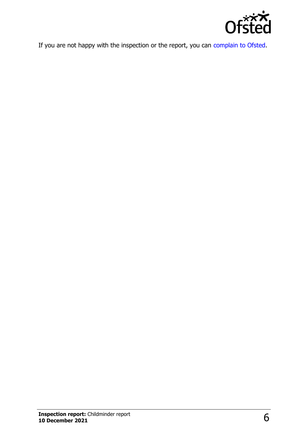

If you are not happy with the inspection or the report, you can [complain to Ofsted](http://www.gov.uk/complain-ofsted-report).